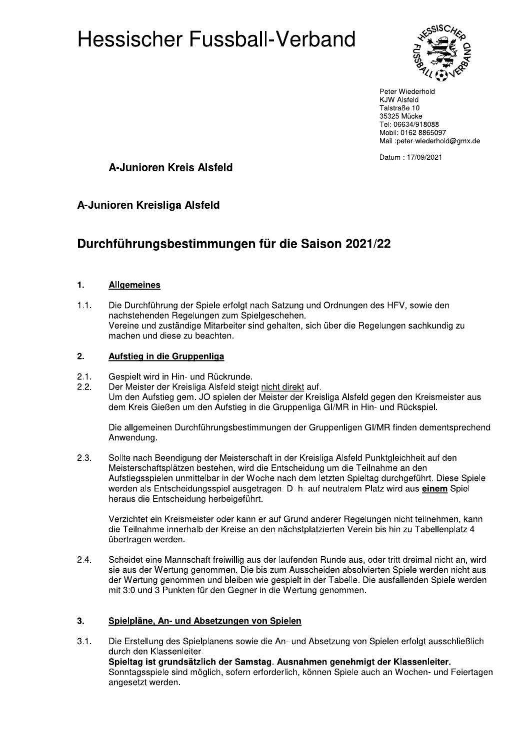

Peter Wiederhold **KJW Alsfeld** Talstraße 10 35325 Mücke Tel: 06634/918088 Mobil: 0162 8865097 Mail :peter-wiederhold@gmx.de

Datum: 17/09/2021

### A-Junioren Kreis Alsfeld

### A-Junioren Kreisliga Alsfeld

## Durchführungsbestimmungen für die Saison 2021/22

#### $1.$ **Allgemeines**

Die Durchführung der Spiele erfolgt nach Satzung und Ordnungen des HFV, sowie den  $1.1.$ nachstehenden Regelungen zum Spielgeschehen. Vereine und zuständige Mitarbeiter sind gehalten, sich über die Regelungen sachkundig zu machen und diese zu beachten.

#### $2.$ Aufstieg in die Gruppenliga

- $2.1.$ Gespielt wird in Hin- und Rückrunde.
- $2.2.$ Der Meister der Kreisliga Alsfeld steigt nicht direkt auf. Um den Aufstieg gem. JO spielen der Meister der Kreisliga Alsfeld gegen den Kreismeister aus dem Kreis Gießen um den Aufstieg in die Gruppenliga GI/MR in Hin- und Rückspiel.

Die allgemeinen Durchführungsbestimmungen der Gruppenligen GI/MR finden dementsprechend Anwendung.

 $2.3.$ Sollte nach Beendigung der Meisterschaft in der Kreisliga Alsfeld Punktgleichheit auf den Meisterschaftsplätzen bestehen, wird die Entscheidung um die Teilnahme an den Aufstiegsspielen unmittelbar in der Woche nach dem letzten Spieltag durchgeführt. Diese Spiele werden als Entscheidungsspiel ausgetragen. D. h. auf neutralem Platz wird aus einem Spiel heraus die Entscheidung herbeigeführt.

Verzichtet ein Kreismeister oder kann er auf Grund anderer Regelungen nicht teilnehmen, kann die Teilnahme innerhalb der Kreise an den nächstplatzierten Verein bis hin zu Tabellenplatz 4 übertragen werden.

 $2.4.$ Scheidet eine Mannschaft freiwillig aus der laufenden Runde aus, oder tritt dreimal nicht an, wird sie aus der Wertung genommen. Die bis zum Ausscheiden absolvierten Spiele werden nicht aus der Wertung genommen und bleiben wie gespielt in der Tabelle. Die ausfallenden Spiele werden mit 3:0 und 3 Punkten für den Geaner in die Wertung genommen.

#### $3.$ Spielpläne, An- und Absetzungen von Spielen

 $3.1.$ Die Erstellung des Spielplanens sowie die An- und Absetzung von Spielen erfolgt ausschließlich durch den Klassenleiter. Spieltag ist grundsätzlich der Samstag. Ausnahmen genehmigt der Klassenleiter. Sonntagsspiele sind möglich, sofern erforderlich, können Spiele auch an Wochen- und Feiertagen angesetzt werden.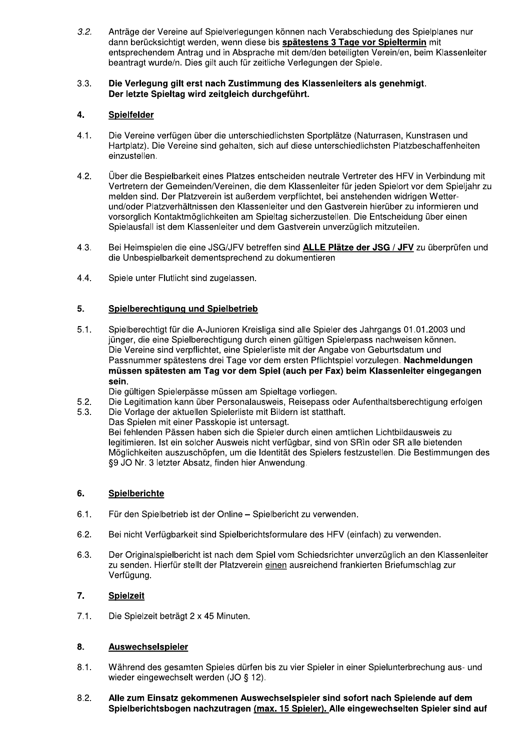Anträge der Vereine auf Spielverlegungen können nach Verabschiedung des Spielplanes nur  $3.2.$ dann berücksichtigt werden, wenn diese bis spätestens 3 Tage vor Spieltermin mit entsprechendem Antrag und in Absprache mit dem/den beteiligten Verein/en, beim Klassenleiter beantragt wurde/n. Dies gilt auch für zeitliche Verlegungen der Spiele.

#### $3.3.$ Die Verlegung gilt erst nach Zustimmung des Klassenleiters als genehmigt. Der letzte Spieltag wird zeitgleich durchgeführt.

#### $4.$ **Spielfelder**

- Die Vereine verfügen über die unterschiedlichsten Sportplätze (Naturrasen, Kunstrasen und  $4.1.$ Hartplatz). Die Vereine sind gehalten, sich auf diese unterschiedlichsten Platzbeschaffenheiten einzustellen.
- $4.2.$ Über die Bespielbarkeit eines Platzes entscheiden neutrale Vertreter des HFV in Verbindung mit Vertretern der Gemeinden/Vereinen, die dem Klassenleiter für jeden Spielort vor dem Spieljahr zu melden sind. Der Platzverein ist außerdem verpflichtet, bei anstehenden widrigen Wetterund/oder Platzverhältnissen den Klassenleiter und den Gastverein hierüber zu informieren und vorsorglich Kontaktmöglichkeiten am Spieltag sicherzustellen. Die Entscheidung über einen Spielausfall ist dem Klassenleiter und dem Gastverein unverzüglich mitzuteilen.
- $4.3.$ Bei Heimspielen die eine JSG/JFV betreffen sind ALLE Plätze der JSG / JFV zu überprüfen und die Unbespielbarkeit dementsprechend zu dokumentieren
- 4.4. Spiele unter Flutlicht sind zugelassen.

#### 5. Spielberechtigung und Spielbetrieb

- $5.1.$ Spielberechtigt für die A-Junioren Kreisliga sind alle Spieler des Jahrgangs 01.01.2003 und jünger, die eine Spielberechtigung durch einen gültigen Spielerpass nachweisen können. Die Vereine sind verpflichtet, eine Spielerliste mit der Angabe von Geburtsdatum und Passnummer spätestens drei Tage vor dem ersten Pflichtspiel vorzulegen. Nachmeldungen müssen spätesten am Tag vor dem Spiel (auch per Fax) beim Klassenleiter eingegangen sein.
	- Die gültigen Spielerpässe müssen am Spieltage vorliegen.
- Die Legitimation kann über Personalausweis, Reisepass oder Aufenthaltsberechtigung erfolgen  $5.2.$
- Die Vorlage der aktuellen Spielerliste mit Bildern ist statthaft. 5.3. Das Spielen mit einer Passkopie ist untersagt. Bei fehlenden Pässen haben sich die Spieler durch einen amtlichen Lichtbildausweis zu legitimieren. Ist ein solcher Ausweis nicht verfügbar, sind von SRin oder SR alle bietenden Möglichkeiten auszuschöpfen, um die Identität des Spielers festzustellen. Die Bestimmungen des §9 JO Nr. 3 letzter Absatz, finden hier Anwendung.

#### 6. Spielberichte

- $6.1.$ Für den Spielbetrieb ist der Online - Spielbericht zu verwenden.
- $6.2.$ Bei nicht Verfügbarkeit sind Spielberichtsformulare des HFV (einfach) zu verwenden.
- 6.3. Der Originalspielbericht ist nach dem Spiel vom Schiedsrichter unverzüglich an den Klassenleiter zu senden. Hierfür stellt der Platzverein einen ausreichend frankierten Briefumschlag zur Verfügung.

#### 7. **Spielzeit**

 $7.1.$ Die Spielzeit beträgt 2 x 45 Minuten.

- $8.1.$ Während des gesamten Spieles dürfen bis zu vier Spieler in einer Spielunterbrechung aus- und wieder eingewechselt werden (JO § 12).
- $8.2.$ Alle zum Einsatz gekommenen Auswechselspieler sind sofort nach Spielende auf dem Spielberichtsbogen nachzutragen (max. 15 Spieler). Alle eingewechselten Spieler sind auf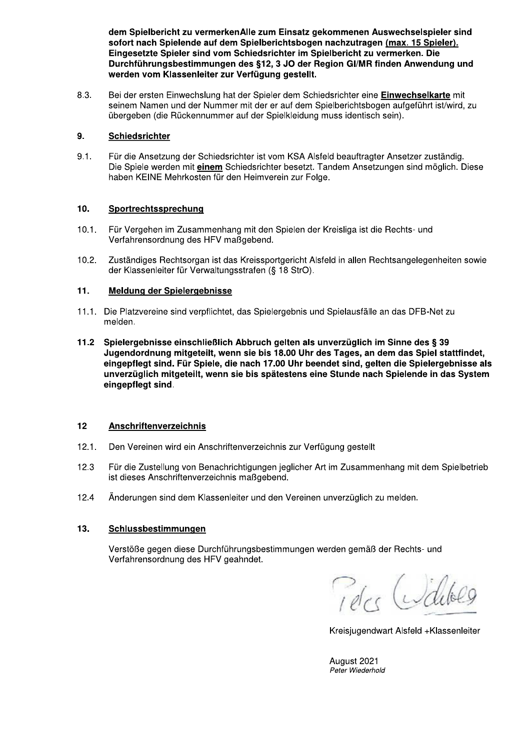dem Spielbericht zu vermerken Alle zum Einsatz gekommenen Auswechseispieler sind sofort nach Spielende auf dem Spielberichtsbogen nachzutragen <u>(max. 15 Spieler).</u> Eingesetzte Spieler sind vom Schledsrichter im Spielbericht zu verm Eingesetzte Spieler sind vom Schledsrichter im Spielbericht zu vermerken. Die<br>Durchführungsbestimmungen des §12, 3 JO der Region GI/MR finden Anwendun dem Spielbericht zu vermerkenAlle zum Einsatz gekommenen Auswechselspieler sind<br>sofort nach Spielende auf dem Spielberichtsbogen nachzutragen <u>(max. 15 Spieler).</u><br>Eingesetzte Spieler sind vom Schiedsrichter im Spielbericht werden vom Klassenleiter zur Verfügung gestellt.

/ 8.3. Bel der ersten Einwechslung hat der Spieler dem Schledsrichter eine **Einwechselkarte** mit seinem Namen und der Nummer mit der er auf dem Spielberichtsbogen aufgeführt ist/wird, zu übergeben (die Rückennummer auf der Spielkleidung muss identisch sein).

### $\mathbb{R}^2$ э. <u>Schiedsrichter</u>

 $9.1.$ Für die Ansetzung der Schiedsrichter ist vom KSA Alsfeld beauftragter Ansetzer zuständig. Die Spiele werden mit einem Schledsrichter besetzt. Tandem Ansetzungen sind moglich. Diese haben KEINE Mehrkosten für den Heimverein zur Folge.

## 10. Sportrechtssprechung

- 10.1. Für Vergehen im Zusammenhang mit den Spielen der Kreisliga ist die Rechts- und Verfahrensordnung des HFV maßgebend.
- $\overline{a}$ TO.2. Zustandiges Rechtsorgan ist das Kreissportgericht Aisreid in allen Rechtsangelegenneiten sowie der Klassenleiter für Verwaltungsstrafen (§ 18 StrO).

### $\mathbb{L}^{\mathbb{Z}}$ 11. Meldung der Spielergebnisse

- $\mathbb{R}^2$ T1.1. Die Platzvereine sind verpflichtet, das Spielergebnis und Spielausfalle an das DFB-Net zu melden.
- $\mathbb{R}^2$ 11.2 Spielergebnisse einschließlich Abbruch gelten als unverzuglich im Sinne des § 39 Jugendoranung mitgetellt, wenn sie bis 18.00 Uhr des Tages, an dem das Spiel stattfindet, we eingepflegt sind. Für Spiele, die nach 17.00 Unr beendet sind, gelten die Spielergebnisse als uhverzuglich mitgetellt, wenn sie bis spätestens eine Stunde nach Spielende in das System eingepflegt sind.

### $\mathbb{R}^2$ 12 <u>Anschriftenverzeichnis</u>

- $12.1.$ Den Vereinen wird ein Anschriftenverzeichnis zur Verfügung gestellt
- $12.3$ Für die Zustellung von Benachrichtigungen jeglicher Art im Zusammenhang mit dem Spielbetrieb ist dieses Anschriftenverzeichnis maßgebend.
- $\mathbb{R}^{\mathbb{Z}}$ T2.4 Anderungen sind dem Klassenielter und den Vereinen unverzuglich zu melden.

#### 13. 13. <u>Schlussbestimmungen</u>

Verstöße gegen diese Durchführungsbestimmungen werden gemäß der Rechts- und Verfahrensordnung des HFV geahndet.

u

Kreisjugendwart Alsfeld +Klassenleiter

/ August 2021<br>*Peter Wiederhold*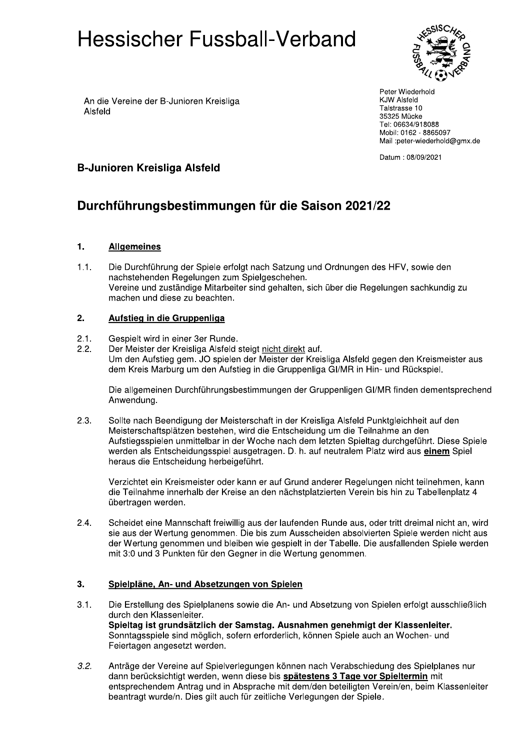

An die Vereine der B-Junioren Kreisliga Alsfeld

Peter Wiederhold **KJW Alsfeld** Talstrasse 10 35325 Mücke Tel: 06634/918088 Mobil: 0162 - 8865097 Mail :peter-wiederhold@gmx.de

Datum: 08/09/2021

## **B-Junioren Kreisliga Alsfeld**

# Durchführungsbestimmungen für die Saison 2021/22

#### $1.$ **Allgemeines**

 $1.1.$ Die Durchführung der Spiele erfolgt nach Satzung und Ordnungen des HFV, sowie den nachstehenden Regelungen zum Spielgeschehen. Vereine und zuständige Mitarbeiter sind gehalten, sich über die Regelungen sachkundig zu machen und diese zu beachten.

#### $2.$ Aufstieg in die Gruppenliga

- $2.1.$ Gespielt wird in einer 3er Runde.
- Der Meister der Kreisliga Alsfeld steigt nicht direkt auf.  $2.2.$ Um den Aufstieg gem. JO spielen der Meister der Kreisliga Alsfeld gegen den Kreismeister aus dem Kreis Marburg um den Aufstieg in die Gruppenliga GI/MR in Hin- und Rückspiel.

Die allgemeinen Durchführungsbestimmungen der Gruppenligen GI/MR finden dementsprechend Anwendung.

 $2.3.$ Sollte nach Beendigung der Meisterschaft in der Kreisliga Alsfeld Punktgleichheit auf den Meisterschaftsplätzen bestehen, wird die Entscheidung um die Teilnahme an den Aufstiegsspielen unmittelbar in der Woche nach dem letzten Spieltag durchgeführt. Diese Spiele werden als Entscheidungsspiel ausgetragen. D. h. auf neutralem Platz wird aus einem Spiel heraus die Entscheidung herbeigeführt.

Verzichtet ein Kreismeister oder kann er auf Grund anderer Regelungen nicht teilnehmen, kann die Teilnahme innerhalb der Kreise an den nächstplatzierten Verein bis hin zu Tabellenplatz 4 übertragen werden.

 $2.4.$ Scheidet eine Mannschaft freiwillig aus der laufenden Runde aus, oder tritt dreimal nicht an, wird sie aus der Wertung genommen. Die bis zum Ausscheiden absolvierten Spiele werden nicht aus der Wertung genommen und bleiben wie gespielt in der Tabelle. Die ausfallenden Spiele werden mit 3:0 und 3 Punkten für den Gegner in die Wertung genommen.

#### $3.$ Spielpläne, An- und Absetzungen von Spielen

- Die Erstellung des Spielplanens sowie die An- und Absetzung von Spielen erfolgt ausschließlich  $3.1.$ durch den Klassenleiter. Spieltag ist grundsätzlich der Samstag. Ausnahmen genehmigt der Klassenleiter. Sonntagsspiele sind möglich, sofern erforderlich, können Spiele auch an Wochen- und Feiertagen angesetzt werden.
- $3.2.$ Anträge der Vereine auf Spielverlegungen können nach Verabschiedung des Spielplanes nur dann berücksichtigt werden, wenn diese bis spätestens 3 Tage vor Spieltermin mit entsprechendem Antrag und in Absprache mit dem/den beteiligten Verein/en, beim Klassenleiter beantragt wurde/n. Dies gilt auch für zeitliche Verlegungen der Spiele.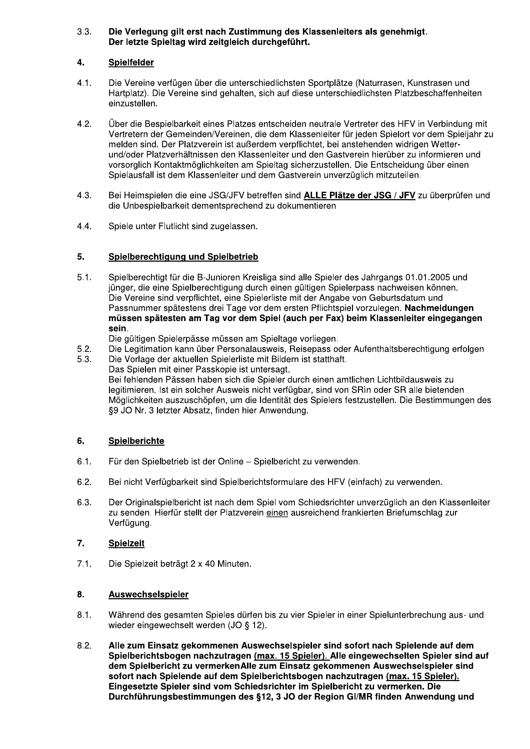#### $3.3.$ Die Verlegung gilt erst nach Zustimmung des Klassenleiters als genehmigt. Der letzte Spieltag wird zeitgleich durchgeführt.

#### 4. Spielfelder

- $4.1.$ Die Vereine verfügen über die unterschiedlichsten Sportplätze (Naturrasen, Kunstrasen und Hartplatz). Die Vereine sind gehalten, sich auf diese unterschiedlichsten Platzbeschaffenheiten einzustellen.
- $4.2.$ Über die Bespielbarkeit eines Platzes entscheiden neutrale Vertreter des HFV in Verbindung mit Vertretern der Gemeinden/Vereinen, die dem Klassenleiter für jeden Spielort vor dem Spieliahr zu melden sind. Der Platzverein ist außerdem verpflichtet, bei anstehenden widrigen Wetterund/oder Platzverhältnissen den Klassenleiter und den Gastverein hierüber zu informieren und vorsorglich Kontaktmöglichkeiten am Spieltag sicherzustellen. Die Entscheidung über einen Spielausfall ist dem Klassenleiter und dem Gastverein unverzüglich mitzuteilen.
- $4.3.$ Bei Heimspielen die eine JSG/JFV betreffen sind ALLE Plätze der JSG / JFV zu überprüfen und die Unbespielbarkeit dementsprechend zu dokumentieren
- 4.4. Spiele unter Flutlicht sind zugelassen.

#### 5. Spielberechtigung und Spielbetrieb

 $5.1.$ Spielberechtigt für die B-Junioren Kreisliga sind alle Spieler des Jahrgangs 01.01.2005 und jünger, die eine Spielberechtigung durch einen gültigen Spielerpass nachweisen können. Die Vereine sind verpflichtet, eine Spielerliste mit der Angabe von Geburtsdatum und Passnummer spätestens drei Tage vor dem ersten Pflichtspiel vorzulegen. Nachmeldungen müssen spätesten am Tag vor dem Spiel (auch per Fax) beim Klassenleiter eingegangen sein.

Die gültigen Spielerpässe müssen am Spieltage vorliegen.

- $5.2.$ Die Legitimation kann über Personalausweis, Reisepass oder Aufenthaltsberechtigung erfolgen
- Die Vorlage der aktuellen Spielerliste mit Bildern ist statthaft. 5.3. Das Spielen mit einer Passkopie ist untersagt. Bei fehlenden Pässen haben sich die Spieler durch einen amtlichen Lichtbildausweis zu legitimieren. Ist ein solcher Ausweis nicht verfügbar, sind von SRin oder SR alle bietenden Möglichkeiten auszuschöpfen, um die Identität des Spielers festzustellen. Die Bestimmungen des §9 JO Nr. 3 letzter Absatz, finden hier Anwendung.

#### Spielberichte 6.

- Für den Spielbetrieb ist der Online Spielbericht zu verwenden.  $6.1.$
- $6.2.$ Bei nicht Verfügbarkeit sind Spielberichtsformulare des HFV (einfach) zu verwenden.
- 6.3. Der Originalspielbericht ist nach dem Spiel vom Schiedsrichter unverzüglich an den Klassenleiter zu senden. Hierfür stellt der Platzverein einen ausreichend frankierten Briefumschlag zur Verfügung.

#### $7.$ **Spielzeit**

 $7.1.$ Die Spielzeit beträgt 2 x 40 Minuten.

- Während des gesamten Spieles dürfen bis zu vier Spieler in einer Spielunterbrechung aus- und  $8.1.$ wieder eingewechselt werden (JO § 12).
- $8.2.$ Alle zum Einsatz gekommenen Auswechselspieler sind sofort nach Spielende auf dem Spielberichtsbogen nachzutragen (max. 15 Spieler). Alle eingewechselten Spieler sind auf dem Spielbericht zu vermerken Alle zum Einsatz gekommenen Auswechselspieler sind sofort nach Spielende auf dem Spielberichtsbogen nachzutragen (max. 15 Spieler). Eingesetzte Spieler sind vom Schiedsrichter im Spielbericht zu vermerken. Die Durchführungsbestimmungen des §12, 3 JO der Region GI/MR finden Anwendung und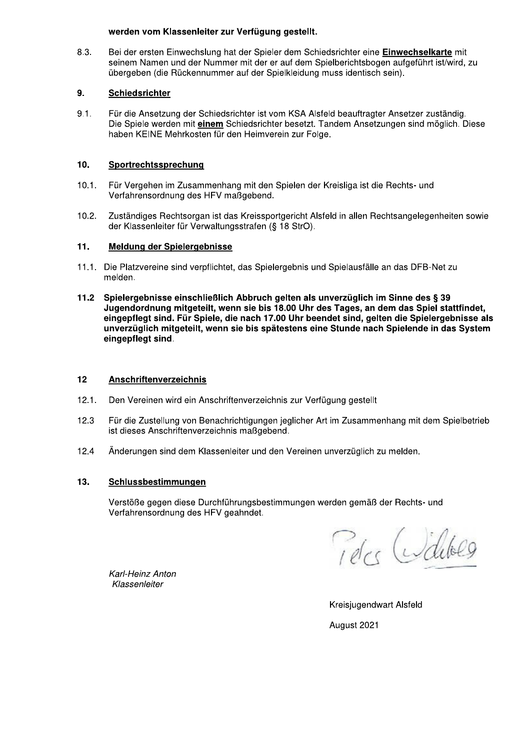### werden vom Klassenleiter zur Verfügung gestellt.

8.3. Bei der ersten Einwechslung hat der Spieler dem Schiedsrichter eine Einwechselkarte mit seinem Namen und der Nummer mit der er auf dem Spielberichtsbogen aufgeführt ist/wird, zu übergeben (die Rückennummer auf der Spielkleidung muss identisch sein).

#### 9. **Schiedsrichter**

 $9.1.$ Für die Ansetzung der Schiedsrichter ist vom KSA Alsfeld beauftragter Ansetzer zuständig. Die Spiele werden mit einem Schiedsrichter besetzt. Tandem Ansetzungen sind möglich. Diese haben KEINE Mehrkosten für den Heimverein zur Folge.

#### $10.$ Sportrechtssprechung

- Für Vergehen im Zusammenhang mit den Spielen der Kreisliga ist die Rechts- und  $10.1.$ Verfahrensordnung des HFV maßgebend.
- $10.2.$ Zuständiges Rechtsorgan ist das Kreissportgericht Alsfeld in allen Rechtsangelegenheiten sowie der Klassenleiter für Verwaltungsstrafen (§ 18 StrO).

#### $11.$ Meldung der Spielergebnisse

- 11.1. Die Platzvereine sind verpflichtet, das Spielergebnis und Spielausfälle an das DFB-Net zu melden.
- Spielergebnisse einschließlich Abbruch gelten als unverzüglich im Sinne des § 39  $11.2$ Jugendordnung mitgeteilt, wenn sie bis 18.00 Uhr des Tages, an dem das Spiel stattfindet. eingepflegt sind. Für Spiele, die nach 17.00 Uhr beendet sind, gelten die Spielergebnisse als unverzüglich mitgeteilt, wenn sie bis spätestens eine Stunde nach Spielende in das System eingepflegt sind.

#### $12$ Anschriftenverzeichnis

- $12.1.$ Den Vereinen wird ein Anschriftenverzeichnis zur Verfügung gestellt
- $12.3$ Für die Zustellung von Benachrichtigungen jeglicher Art im Zusammenhang mit dem Spielbetrieb ist dieses Anschriftenverzeichnis maßgebend.
- Änderungen sind dem Klassenleiter und den Vereinen unverzüglich zu melden. 12.4

#### $13.$ Schlussbestimmungen

Verstöße gegen diese Durchführungsbestimmungen werden gemäß der Rechts- und Verfahrensordnung des HFV geahndet.

Peter Walter

Karl-Heinz Anton Klassenleiter

> Kreisjugendwart Alsfeld August 2021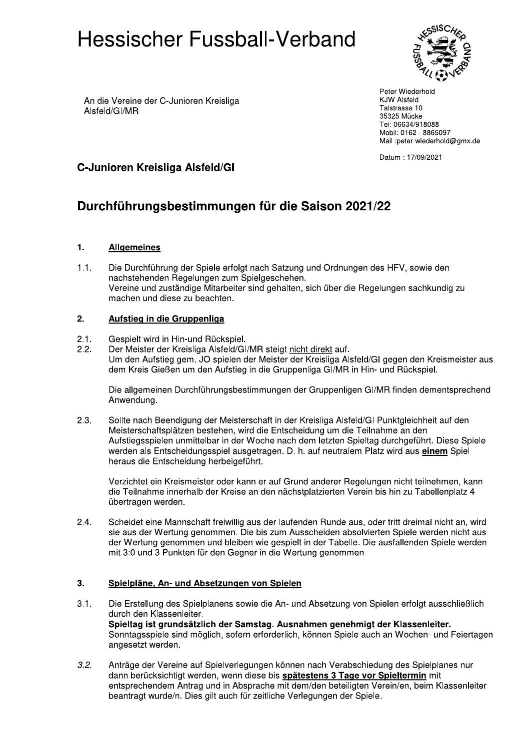

An die Vereine der C-Junioren Kreisliga Alsfeld/GI/MR

Peter Wiederhold **KJW Alsfeld** Talstrasse 10 35325 Mücke Tel: 06634/918088 Mobil: 0162 - 8865097 Mail :peter-wiederhold@gmx.de

Datum: 17/09/2021

## C-Junioren Kreisliga Alsfeld/Gl

# Durchführungsbestimmungen für die Saison 2021/22

#### $1.$ **Allgemeines**

Die Durchführung der Spiele erfolgt nach Satzung und Ordnungen des HFV, sowie den  $1.1.$ nachstehenden Regelungen zum Spielgeschehen. Vereine und zuständige Mitarbeiter sind gehalten, sich über die Regelungen sachkundig zu machen und diese zu beachten.

#### $2.$ Aufstieg in die Gruppenliga

- $2.1.$ Gespielt wird in Hin-und Rückspiel.
- $2.2.$ Der Meister der Kreisliga Alsfeld/GI/MR steigt nicht direkt auf. Um den Aufstieg gem. JO spielen der Meister der Kreisliga Alsfeld/GI gegen den Kreismeister aus dem Kreis Gießen um den Aufstieg in die Gruppenliga GI/MR in Hin- und Rückspiel.

Die allgemeinen Durchführungsbestimmungen der Gruppenligen GI/MR finden dementsprechend Anwendung.

 $2.3.$ Sollte nach Beendigung der Meisterschaft in der Kreisliga Alsfeld/GI Punktgleichheit auf den Meisterschaftsplätzen bestehen, wird die Entscheidung um die Teilnahme an den Aufstiegsspielen unmittelbar in der Woche nach dem letzten Spieltag durchgeführt. Diese Spiele werden als Entscheidungsspiel ausgetragen. D. h. auf neutralem Platz wird aus einem Spiel heraus die Entscheidung herbeigeführt.

Verzichtet ein Kreismeister oder kann er auf Grund anderer Regelungen nicht teilnehmen, kann die Teilnahme innerhalb der Kreise an den nächstplatzierten Verein bis hin zu Tabellenplatz 4 übertragen werden.

 $2.4.$ Scheidet eine Mannschaft freiwillig aus der laufenden Runde aus, oder tritt dreimal nicht an, wird sie aus der Wertung genommen. Die bis zum Ausscheiden absolvierten Spiele werden nicht aus der Wertung genommen und bleiben wie gespielt in der Tabelle. Die ausfallenden Spiele werden mit 3:0 und 3 Punkten für den Gegner in die Wertung genommen.

#### $3.$ Spielpläne, An- und Absetzungen von Spielen

- $3.1.$ Die Erstellung des Spielplanens sowie die An- und Absetzung von Spielen erfolgt ausschließlich durch den Klassenleiter. Spieltag ist grundsätzlich der Samstag. Ausnahmen genehmigt der Klassenleiter. Sonntagsspiele sind möglich, sofern erforderlich, können Spiele auch an Wochen- und Feiertagen angesetzt werden.
- $3.2.$ Anträge der Vereine auf Spielverlegungen können nach Verabschiedung des Spielplanes nur dann berücksichtigt werden, wenn diese bis spätestens 3 Tage vor Spieltermin mit entsprechendem Antrag und in Absprache mit dem/den beteiligten Verein/en, beim Klassenleiter beantragt wurde/n. Dies gilt auch für zeitliche Verlegungen der Spiele.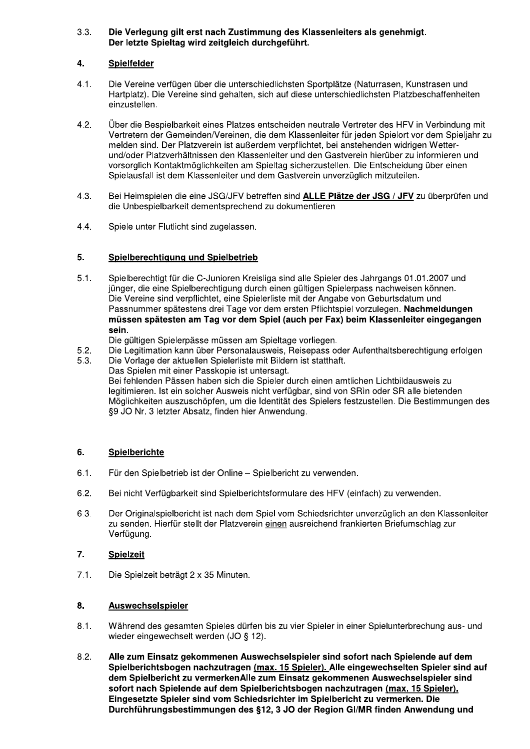#### $3.3.$ Die Verlegung gilt erst nach Zustimmung des Klassenleiters als genehmigt. Der letzte Spieltag wird zeitgleich durchgeführt.

#### 4. **Spielfelder**

- $4.1.$ Die Vereine verfügen über die unterschiedlichsten Sportplätze (Naturrasen, Kunstrasen und Hartplatz). Die Vereine sind gehalten, sich auf diese unterschiedlichsten Platzbeschaffenheiten einzustellen.
- $4.2.$ Über die Bespielbarkeit eines Platzes entscheiden neutrale Vertreter des HFV in Verbindung mit Vertretern der Gemeinden/Vereinen, die dem Klassenleiter für jeden Spielort vor dem Spieliahr zu melden sind. Der Platzverein ist außerdem verpflichtet, bei anstehenden widrigen Wetterund/oder Platzverhältnissen den Klassenleiter und den Gastverein hierüber zu informieren und vorsorglich Kontaktmöglichkeiten am Spieltag sicherzustellen. Die Entscheidung über einen Spielausfall ist dem Klassenleiter und dem Gastverein unverzüglich mitzuteilen.
- $4.3.$ Bei Heimspielen die eine JSG/JFV betreffen sind ALLE Plätze der JSG / JFV zu überprüfen und die Unbespielbarkeit dementsprechend zu dokumentieren
- $4.4.$ Spiele unter Flutlicht sind zugelassen.

#### 5. Spielberechtigung und Spielbetrieb

 $5.1.$ Spielberechtigt für die C-Junioren Kreisliga sind alle Spieler des Jahrgangs 01.01.2007 und jünger, die eine Spielberechtigung durch einen gültigen Spielerpass nachweisen können. Die Vereine sind verpflichtet, eine Spielerliste mit der Angabe von Geburtsdatum und Passnummer spätestens drei Tage vor dem ersten Pflichtspiel vorzulegen. Nachmeldungen müssen spätesten am Tag vor dem Spiel (auch per Fax) beim Klassenleiter eingegangen sein.

Die gültigen Spielerpässe müssen am Spieltage vorliegen.

- $5.2.$ Die Legitimation kann über Personalausweis, Reisepass oder Aufenthaltsberechtigung erfolgen
- $5.3.$ Die Vorlage der aktuellen Spielerliste mit Bildern ist statthaft. Das Spielen mit einer Passkopie ist untersagt. Bei fehlenden Pässen haben sich die Spieler durch einen amtlichen Lichtbildausweis zu legitimieren. Ist ein solcher Ausweis nicht verfügbar, sind von SRin oder SR alle bietenden Möglichkeiten auszuschöpfen, um die Identität des Spielers festzustellen. Die Bestimmungen des §9 JO Nr. 3 letzter Absatz, finden hier Anwendung.

#### 6. Spielberichte

- $6.1.$ Für den Spielbetrieb ist der Online - Spielbericht zu verwenden.
- $6.2.$ Bei nicht Verfügbarkeit sind Spielberichtsformulare des HFV (einfach) zu verwenden.
- $6.3.$ Der Originalspielbericht ist nach dem Spiel vom Schiedsrichter unverzüglich an den Klassenleiter zu senden. Hierfür stellt der Platzverein einen ausreichend frankierten Briefumschlag zur Verfügung.

#### $\overline{7}$ . **Spielzeit**

 $7.1.$ Die Spielzeit beträgt 2 x 35 Minuten.

- $8.1.$ Während des gesamten Spieles dürfen bis zu vier Spieler in einer Spielunterbrechung aus- und wieder eingewechselt werden (JO § 12).
- $8.2.$ Alle zum Einsatz gekommenen Auswechselspieler sind sofort nach Spielende auf dem Spielberichtsbogen nachzutragen (max. 15 Spieler). Alle eingewechselten Spieler sind auf dem Spielbericht zu vermerken Alle zum Einsatz gekommenen Auswechselspieler sind sofort nach Spielende auf dem Spielberichtsbogen nachzutragen (max. 15 Spieler). Eingesetzte Spieler sind vom Schiedsrichter im Spielbericht zu vermerken. Die Durchführungsbestimmungen des §12, 3 JO der Region GI/MR finden Anwendung und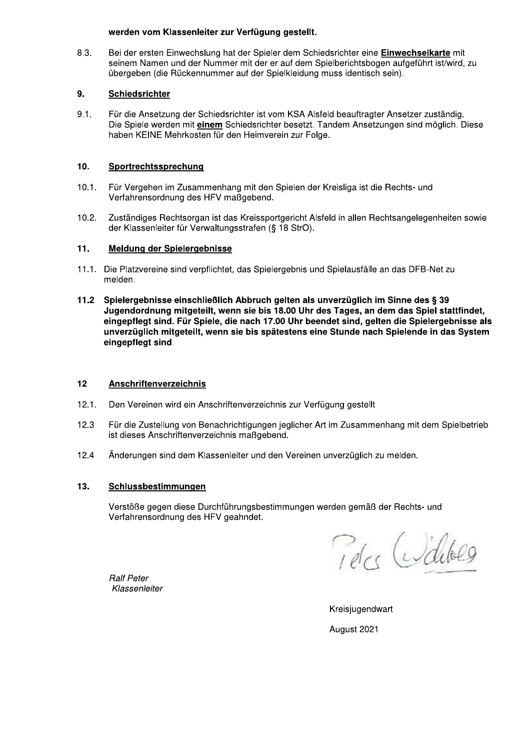### werden vom Klassenleiter zur Verfügung gestellt.

8.3. Bei der ersten Einwechslung hat der Spieler dem Schiedsrichter eine Einwechselkarte mit seinem Namen und der Nummer mit der er auf dem Spielberichtsbogen aufgeführt ist/wird, zu übergeben (die Rückennummer auf der Spielkleidung muss identisch sein).

#### 9. Schiedsrichter

 $9.1.$ Für die Ansetzung der Schiedsrichter ist vom KSA Alsfeld beauftragter Ansetzer zuständig. Die Spiele werden mit einem Schiedsrichter besetzt. Tandem Ansetzungen sind möglich. Diese haben KEINE Mehrkosten für den Heimverein zur Folge.

#### $10.$ Sportrechtssprechung

- $10.1.$ Für Vergehen im Zusammenhang mit den Spielen der Kreisliga ist die Rechts- und Verfahrensordnung des HFV maßgebend.
- $10.2.$ Zuständiges Rechtsorgan ist das Kreissportgericht Alsfeld in allen Rechtsangelegenheiten sowie der Klassenleiter für Verwaltungsstrafen (§ 18 StrO).

#### $11.$ Meldung der Spielergebnisse

- 11.1. Die Platzvereine sind verpflichtet, das Spielergebnis und Spielausfälle an das DFB-Net zu melden.
- $11.2$ Spielergebnisse einschließlich Abbruch gelten als unverzüglich im Sinne des § 39 Jugendordnung mitgeteilt, wenn sie bis 18.00 Uhr des Tages, an dem das Spiel stattfindet. eingepflegt sind. Für Spiele, die nach 17.00 Uhr beendet sind, gelten die Spielergebnisse als unverzüglich mitgeteilt, wenn sie bis spätestens eine Stunde nach Spielende in das System eingepflegt sind.

#### $12$ Anschriftenverzeichnis

- $12.1.$ Den Vereinen wird ein Anschriftenverzeichnis zur Verfügung gestellt
- $12.3$ Für die Zustellung von Benachrichtigungen jeglicher Art im Zusammenhang mit dem Spielbetrieb ist dieses Anschriftenverzeichnis maßgebend.
- $124$ Änderungen sind dem Klassenleiter und den Vereinen unverzüglich zu melden.

#### $13.$ Schlussbestimmungen

Verstöße gegen diese Durchführungsbestimmungen werden gemäß der Rechts- und Verfahrensordnung des HFV geahndet.

Teles Widels

**Ralf Peter** Klassenleiter

Kreisiugendwart August 2021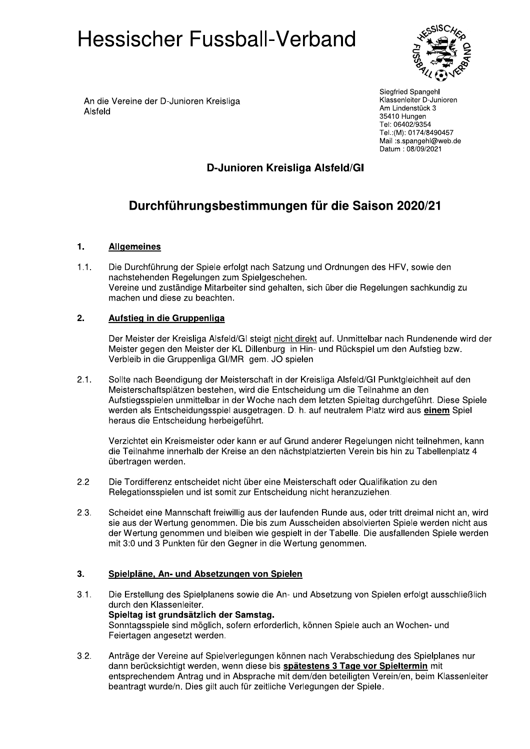

An die Vereine der D-Junioren Kreisliga Alsfeld

Siegfried Spangehl Klassenleiter D-Junioren Am Lindenstück 3 35410 Hungen Tel: 06402/9354 Tel.:(M): 0174/8490457 Mail:s.spangehl@web.de Datum: 08/09/2021

## D-Junioren Kreisliga Alsfeld/Gl

# Durchführungsbestimmungen für die Saison 2020/21

#### $1.$ **Allgemeines**

 $1.1.$ Die Durchführung der Spiele erfolgt nach Satzung und Ordnungen des HFV, sowie den nachstehenden Regelungen zum Spielgeschehen. Vereine und zuständige Mitarbeiter sind gehalten, sich über die Regelungen sachkundig zu machen und diese zu beachten.

#### $2.$ Aufstieg in die Gruppenliga

Der Meister der Kreisliga Alsfeld/GI steigt nicht direkt auf. Unmittelbar nach Rundenende wird der Meister gegen den Meister der KL Dillenburg in Hin- und Rückspiel um den Aufstieg bzw. Verbleib in die Gruppenliga GI/MR gem. JO spielen

 $2.1.$ Sollte nach Beendigung der Meisterschaft in der Kreisliga Alsfeld/GI Punktgleichheit auf den Meisterschaftsplätzen bestehen, wird die Entscheidung um die Teilnahme an den Aufstiegsspielen unmittelbar in der Woche nach dem letzten Spieltag durchgeführt. Diese Spiele werden als Entscheidungsspiel ausgetragen. D. h. auf neutralem Platz wird aus einem Spiel heraus die Entscheidung herbeigeführt.

Verzichtet ein Kreismeister oder kann er auf Grund anderer Regelungen nicht teilnehmen, kann die Teilnahme innerhalb der Kreise an den nächstplatzierten Verein bis hin zu Tabellenplatz 4 übertragen werden.

- $2.2$ Die Tordifferenz entscheidet nicht über eine Meisterschaft oder Qualifikation zu den Relegationsspielen und ist somit zur Entscheidung nicht heranzuziehen.
- Scheidet eine Mannschaft freiwillig aus der laufenden Runde aus, oder tritt dreimal nicht an, wird  $2.3.$ sie aus der Wertung genommen. Die bis zum Ausscheiden absolvierten Spiele werden nicht aus der Wertung genommen und bleiben wie gespielt in der Tabelle. Die ausfallenden Spiele werden mit 3:0 und 3 Punkten für den Gegner in die Wertung genommen.

#### $3.$ Spielpläne, An- und Absetzungen von Spielen

- $3.1.$ Die Erstellung des Spielplanens sowie die An- und Absetzung von Spielen erfolgt ausschließlich durch den Klassenleiter. Spieltag ist grundsätzlich der Samstag. Sonntagsspiele sind möglich, sofern erforderlich, können Spiele auch an Wochen- und Feiertagen angesetzt werden.
- Anträge der Vereine auf Spielverlegungen können nach Verabschiedung des Spielplanes nur  $3.2.$ dann berücksichtigt werden, wenn diese bis spätestens 3 Tage vor Spieltermin mit entsprechendem Antrag und in Absprache mit dem/den beteiligten Verein/en, beim Klassenleiter beantragt wurde/n. Dies gilt auch für zeitliche Verlegungen der Spiele.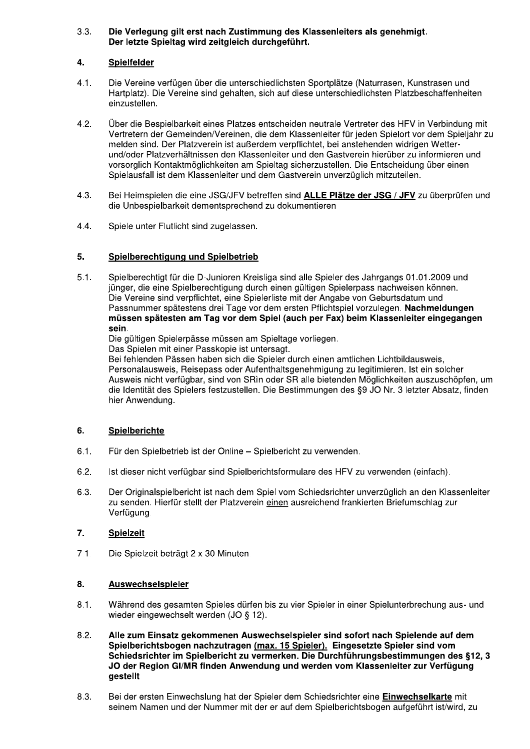#### $3.3.$ Die Verlegung gilt erst nach Zustimmung des Klassenleiters als genehmigt. Der letzte Spieltag wird zeitgleich durchgeführt.

#### 4. Spielfelder

- $4.1.$ Die Vereine verfügen über die unterschiedlichsten Sportplätze (Naturrasen, Kunstrasen und Hartplatz). Die Vereine sind gehalten, sich auf diese unterschiedlichsten Platzbeschaffenheiten einzustellen.
- $4.2.$ Über die Bespielbarkeit eines Platzes entscheiden neutrale Vertreter des HFV in Verbindung mit Vertretern der Gemeinden/Vereinen, die dem Klassenleiter für jeden Spielort vor dem Spieliahr zu melden sind. Der Platzverein ist außerdem verpflichtet, bei anstehenden widrigen Wetterund/oder Platzverhältnissen den Klassenleiter und den Gastverein hierüber zu informieren und vorsorglich Kontaktmöglichkeiten am Spieltag sicherzustellen. Die Entscheidung über einen Spielausfall ist dem Klassenleiter und dem Gastverein unverzüglich mitzuteilen.
- $4.3.$ Bei Heimspielen die eine JSG/JFV betreffen sind ALLE Plätze der JSG / JFV zu überprüfen und die Unbespielbarkeit dementsprechend zu dokumentieren
- 4.4. Spiele unter Flutlicht sind zugelassen.

#### 5. Spielberechtigung und Spielbetrieb

 $5.1.$ Spielberechtigt für die D-Junioren Kreisliga sind alle Spieler des Jahrgangs 01.01.2009 und jünger, die eine Spielberechtigung durch einen gültigen Spielerpass nachweisen können. Die Vereine sind verpflichtet, eine Spielerliste mit der Angabe von Geburtsdatum und Passnummer spätestens drei Tage vor dem ersten Pflichtspiel vorzulegen. Nachmeldungen müssen spätesten am Tag vor dem Spiel (auch per Fax) beim Klassenleiter eingegangen sein.

Die gültigen Spielerpässe müssen am Spieltage vorliegen.

Das Spielen mit einer Passkopie ist untersagt.

Bei fehlenden Pässen haben sich die Spieler durch einen amtlichen Lichtbildausweis. Personalausweis, Reisepass oder Aufenthaltsgenehmigung zu legitimieren. Ist ein solcher Ausweis nicht verfügbar, sind von SRIn oder SR alle bietenden Möglichkeiten auszuschöpfen, um die Identität des Spielers festzustellen. Die Bestimmungen des §9 JO Nr. 3 letzter Absatz, finden hier Anwendung.

#### 6. Spielberichte

- $6.1.$ Für den Spielbetrieb ist der Online - Spielbericht zu verwenden.
- Ist dieser nicht verfügbar sind Spielberichtsformulare des HFV zu verwenden (einfach).  $6.2.$
- 6.3. Der Originalspielbericht ist nach dem Spiel vom Schiedsrichter unverzüglich an den Klassenleiter zu senden. Hierfür stellt der Platzverein einen ausreichend frankierten Briefumschlag zur Verfügung.

#### $\overline{7}$ . **Spielzeit**

 $7.1.$ Die Spielzeit beträgt 2 x 30 Minuten.

- Während des gesamten Spieles dürfen bis zu vier Spieler in einer Spielunterbrechung aus- und  $8.1.$ wieder eingewechselt werden (JO § 12).
- $8.2.$ Alle zum Einsatz gekommenen Auswechselspieler sind sofort nach Spielende auf dem Spielberichtsbogen nachzutragen (max. 15 Spieler). Eingesetzte Spieler sind vom Schiedsrichter im Spielbericht zu vermerken. Die Durchführungsbestimmungen des §12, 3 JO der Region GI/MR finden Anwendung und werden vom Klassenleiter zur Verfügung gestellt
- $8.3.$ Bei der ersten Einwechslung hat der Spieler dem Schiedsrichter eine Einwechselkarte mit seinem Namen und der Nummer mit der er auf dem Spielberichtsbogen aufgeführt ist/wird, zu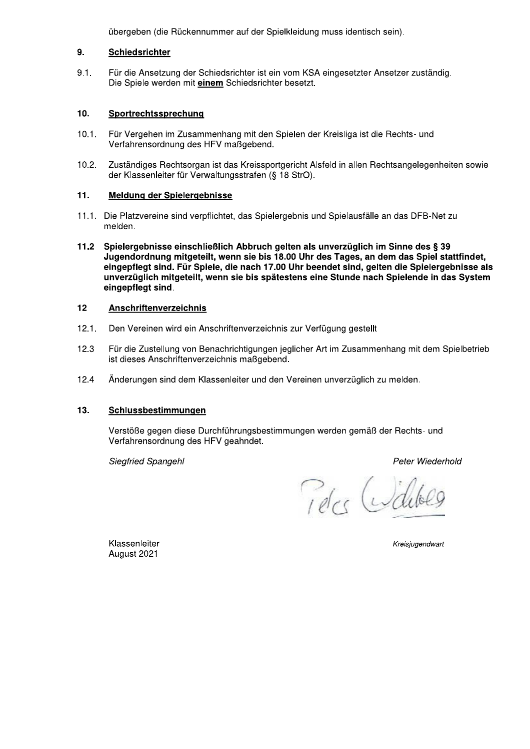übergeben (die Rückennummer auf der Spielkleidung muss identisch sein).

#### 9. Schiedsrichter

 $9.1.$ Für die Ansetzung der Schiedsrichter ist ein vom KSA eingesetzter Ansetzer zuständig. Die Spiele werden mit einem Schiedsrichter besetzt.

#### $10.$ Sportrechtssprechung

- $10.1.$ Für Vergehen im Zusammenhang mit den Spielen der Kreisliga ist die Rechts- und Verfahrensordnung des HFV maßgebend.
- $10.2.$ Zuständiges Rechtsorgan ist das Kreissportgericht Alsfeld in allen Rechtsangelegenheiten sowie der Klassenleiter für Verwaltungsstrafen (§ 18 StrO).

#### $11.$ Meldung der Spielergebnisse

- 11.1. Die Platzvereine sind verpflichtet, das Spielergebnis und Spielausfälle an das DFB-Net zu melden.
- $11.2$ Spielergebnisse einschließlich Abbruch gelten als unverzüglich im Sinne des § 39 Jugendordnung mitgeteilt, wenn sie bis 18.00 Uhr des Tages, an dem das Spiel stattfindet, eingepflegt sind. Für Spiele, die nach 17.00 Uhr beendet sind, gelten die Spielergebnisse als unverzüglich mitgeteilt, wenn sie bis spätestens eine Stunde nach Spielende in das System eingepflegt sind.

#### $12$ Anschriftenverzeichnis

- $12.1.$ Den Vereinen wird ein Anschriftenverzeichnis zur Verfügung gestellt
- $12.3$ Für die Zustellung von Benachrichtigungen jeglicher Art im Zusammenhang mit dem Spielbetrieb ist dieses Anschriftenverzeichnis maßgebend.
- 12.4 Änderungen sind dem Klassenleiter und den Vereinen unverzüglich zu melden.

#### $13.$ Schlussbestimmungen

Verstöße gegen diese Durchführungsbestimmungen werden gemäß der Rechts- und Verfahrensordnung des HFV geahndet.

Siegfried Spangehl

Peter Wiederhold

Pelcs Willis

Klassenleiter August 2021

Kreisjugendwart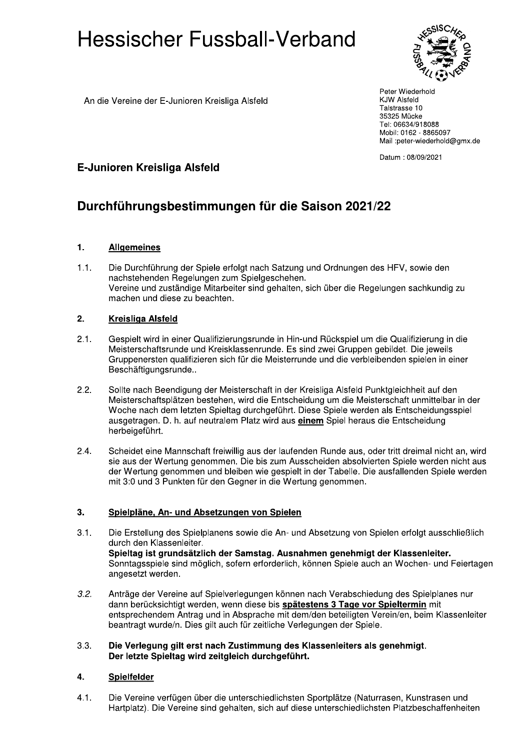

Peter Wiederhold **KJW Alsfeld** Talstrasse 10 35325 Mücke Tel: 06634/918088 Mobil: 0162 - 8865097 Mail :peter-wiederhold@gmx.de

Datum: 08/09/2021

## E-Junioren Kreisliga Alsfeld

An die Vereine der E-Junioren Kreisliga Alsfeld

# Durchführungsbestimmungen für die Saison 2021/22

#### $1.$ **Allgemeines**

Die Durchführung der Spiele erfolgt nach Satzung und Ordnungen des HFV, sowie den  $1.1.$ nachstehenden Regelungen zum Spielgeschehen. Vereine und zuständige Mitarbeiter sind gehalten, sich über die Regelungen sachkundig zu machen und diese zu beachten.

#### $2.$ **Kreisliga Alsfeld**

- $2.1.$ Gespielt wird in einer Qualifizierungsrunde in Hin-und Rückspiel um die Qualifizierung in die Meisterschaftsrunde und Kreisklassenrunde. Es sind zwei Gruppen gebildet. Die jeweils Gruppenersten qualifizieren sich für die Meisterrunde und die verbleibenden spielen in einer Beschäftigungsrunde..
- $2.2.$ Sollte nach Beendigung der Meisterschaft in der Kreisliga Alsfeld Punktgleichheit auf den Meisterschaftsplätzen bestehen, wird die Entscheidung um die Meisterschaft unmittelbar in der Woche nach dem letzten Spieltag durchgeführt. Diese Spiele werden als Entscheidungsspiel ausgetragen. D. h. auf neutralem Platz wird aus einem Spiel heraus die Entscheidung herbeigeführt.
- $2.4.$ Scheidet eine Mannschaft freiwillig aus der laufenden Runde aus, oder tritt dreimal nicht an, wird sie aus der Wertung genommen. Die bis zum Ausscheiden absolvierten Spiele werden nicht aus der Wertung genommen und bleiben wie gespielt in der Tabelle. Die ausfallenden Spiele werden mit 3:0 und 3 Punkten für den Gegner in die Wertung genommen.

#### $3.$ Spielpläne, An- und Absetzungen von Spielen

- $3.1.$ Die Erstellung des Spielplanens sowie die An- und Absetzung von Spielen erfolgt ausschließlich durch den Klassenleiter. Spieltag ist grundsätzlich der Samstag. Ausnahmen genehmigt der Klassenleiter. Sonntagsspiele sind möglich, sofern erforderlich, können Spiele auch an Wochen- und Feiertagen angesetzt werden.
- $3.2.$ Anträge der Vereine auf Spielverlegungen können nach Verabschiedung des Spielplanes nur dann berücksichtigt werden, wenn diese bis spätestens 3 Tage vor Spieltermin mit entsprechendem Antrag und in Absprache mit dem/den beteiligten Verein/en, beim Klassenleiter beantragt wurde/n. Dies gilt auch für zeitliche Verlegungen der Spiele.

#### $3.3.$ Die Verlegung gilt erst nach Zustimmung des Klassenleiters als genehmigt. Der letzte Spieltag wird zeitgleich durchgeführt.

#### 4. **Spielfelder**

 $4.1.$ Die Vereine verfügen über die unterschiedlichsten Sportplätze (Naturrasen, Kunstrasen und Hartplatz). Die Vereine sind gehalten, sich auf diese unterschiedlichsten Platzbeschaffenheiten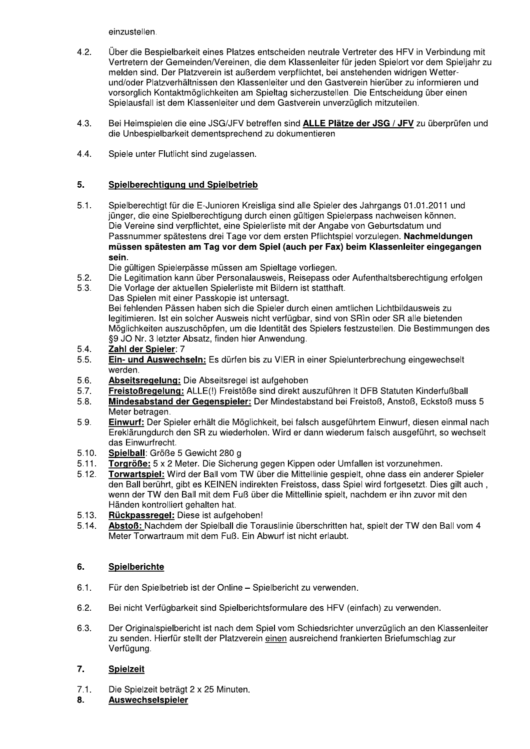einzustellen.

- $4.2.$ Über die Bespielbarkeit eines Platzes entscheiden neutrale Vertreter des HFV in Verbindung mit Vertretern der Gemeinden/Vereinen, die dem Klassenleiter für jeden Spielort vor dem Spieljahr zu melden sind. Der Platzverein ist außerdem verpflichtet, bei anstehenden widrigen Wetterund/oder Platzverhältnissen den Klassenleiter und den Gastverein hierüber zu informieren und vorsorglich Kontaktmöglichkeiten am Spieltag sicherzustellen. Die Entscheidung über einen Spielausfall ist dem Klassenleiter und dem Gastverein unverzüglich mitzuteilen.
- $4.3.$ Bei Heimspielen die eine JSG/JFV betreffen sind ALLE Plätze der JSG / JFV zu überprüfen und die Unbespielbarkeit dementsprechend zu dokumentieren
- $4.4.$ Spiele unter Flutlicht sind zugelassen.

#### 5. Spielberechtigung und Spielbetrieb

- Spielberechtigt für die E-Junioren Kreisliga sind alle Spieler des Jahrgangs 01.01.2011 und  $5.1.$ jünger, die eine Spielberechtigung durch einen gültigen Spielerpass nachweisen können. Die Vereine sind verpflichtet, eine Spielerliste mit der Angabe von Geburtsdatum und Passnummer spätestens drei Tage vor dem ersten Pflichtspiel vorzulegen. Nachmeldungen müssen spätesten am Tag vor dem Spiel (auch per Fax) beim Klassenleiter eingegangen sein.
	- Die gültigen Spielerpässe müssen am Spieltage vorliegen.
- $5.2.$ Die Legitimation kann über Personalausweis, Reisepass oder Aufenthaltsberechtigung erfolgen
- Die Vorlage der aktuellen Spielerliste mit Bildern ist statthaft.  $5.3.$ Das Spielen mit einer Passkopie ist untersagt. Bei fehlenden Pässen haben sich die Spieler durch einen amtlichen Lichtbildausweis zu legitimieren. Ist ein solcher Ausweis nicht verfügbar, sind von SRin oder SR alle bietenden Möglichkeiten auszuschöpfen, um die Identität des Spielers festzustellen. Die Bestimmungen des §9 JO Nr. 3 letzter Absatz, finden hier Anwendung.
- $5.4.$ Zahl der Spieler: 7
- $5.5.$ Ein- und Auswechseln: Es dürfen bis zu VIER in einer Spielunterbrechung eingewechselt werden.
- 5.6. Abseitsregelung: Die Abseitsregel ist aufgehoben
- Freistoßregelung: ALLE(!) Freistöße sind direkt auszuführen It DFB Statuten Kinderfußball  $5.7.$
- Mindesabstand der Gegenspieler: Der Mindestabstand bei Freistoß, Anstoß, Eckstoß muss 5  $5.8.$ Meter betragen.
- 5.9. Einwurf: Der Spieler erhält die Möglichkeit, bei falsch ausgeführtem Einwurf, diesen einmal nach Ereklärungdurch den SR zu wiederholen. Wird er dann wiederum falsch ausgeführt, so wechselt das Einwurfrecht.
- $5.10.$ Spielball: Größe 5 Gewicht 280 g
- $5.11.$ Torgröße: 5 x 2 Meter. Die Sicherung gegen Kippen oder Umfallen ist vorzunehmen.
- $5.12.$ Torwartspiel: Wird der Ball vom TW über die Mittellinie gespielt, ohne dass ein anderer Spieler den Ball berührt, gibt es KEINEN indirekten Freistoss, dass Spiel wird fortgesetzt. Dies gilt auch. wenn der TW den Ball mit dem Fuß über die Mittellinie spielt, nachdem er ihn zuvor mit den Händen kontrolliert gehalten hat.
- Rückpassregel: Diese ist aufgehoben!  $5.13.$
- Abstoß: Nachdem der Spielball die Torauslinie überschritten hat, spielt der TW den Ball vom 4  $5.14.$ Meter Torwartraum mit dem Fuß. Ein Abwurf ist nicht erlaubt.

#### 6. Spielberichte

- $6.1.$ Für den Spielbetrieb ist der Online - Spielbericht zu verwenden.
- $6.2.$ Bei nicht Verfügbarkeit sind Spielberichtsformulare des HFV (einfach) zu verwenden.
- 6.3. Der Originalspielbericht ist nach dem Spiel vom Schiedsrichter unverzüglich an den Klassenleiter zu senden. Hierfür stellt der Platzverein einen ausreichend frankierten Briefumschlag zur Verfügung.

#### $\overline{7}$ . **Spielzeit**

- $7.1.$ Die Spielzeit beträgt 2 x 25 Minuten.
- 8. Auswechselspieler